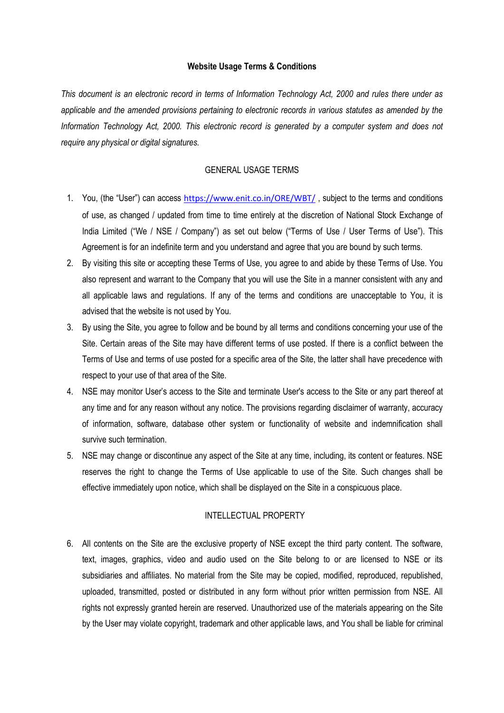## **Website Usage Terms & Conditions**

*This document is an electronic record in terms of Information Technology Act, 2000 and rules there under as applicable and the amended provisions pertaining to electronic records in various statutes as amended by the Information Technology Act, 2000. This electronic record is generated by a computer system and does not require any physical or digital signatures.*

# GENERAL USAGE TERMS

- 1. You, (the "User") can access <https://www.enit.co.in/ORE/WBT/>, subject to the terms and conditions of use, as changed / updated from time to time entirely at the discretion of National Stock Exchange of India Limited ("We / NSE / Company") as set out below ("Terms of Use / User Terms of Use"). This Agreement is for an indefinite term and you understand and agree that you are bound by such terms.
- 2. By visiting this site or accepting these Terms of Use, you agree to and abide by these Terms of Use. You also represent and warrant to the Company that you will use the Site in a manner consistent with any and all applicable laws and regulations. If any of the terms and conditions are unacceptable to You, it is advised that the website is not used by You.
- 3. By using the Site, you agree to follow and be bound by all terms and conditions concerning your use of the Site. Certain areas of the Site may have different terms of use posted. If there is a conflict between the Terms of Use and terms of use posted for a specific area of the Site, the latter shall have precedence with respect to your use of that area of the Site.
- 4. NSE may monitor User's access to the Site and terminate User's access to the Site or any part thereof at any time and for any reason without any notice. The provisions regarding disclaimer of warranty, accuracy of information, software, database other system or functionality of website and indemnification shall survive such termination.
- 5. NSE may change or discontinue any aspect of the Site at any time, including, its content or features. NSE reserves the right to change the Terms of Use applicable to use of the Site. Such changes shall be effective immediately upon notice, which shall be displayed on the Site in a conspicuous place.

# INTELLECTUAL PROPERTY

6. All contents on the Site are the exclusive property of NSE except the third party content. The software, text, images, graphics, video and audio used on the Site belong to or are licensed to NSE or its subsidiaries and affiliates. No material from the Site may be copied, modified, reproduced, republished, uploaded, transmitted, posted or distributed in any form without prior written permission from NSE. All rights not expressly granted herein are reserved. Unauthorized use of the materials appearing on the Site by the User may violate copyright, trademark and other applicable laws, and You shall be liable for criminal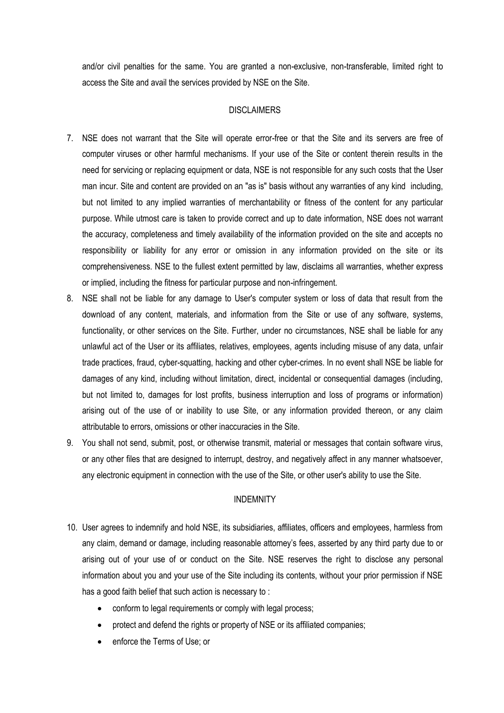and/or civil penalties for the same. You are granted a non-exclusive, non-transferable, limited right to access the Site and avail the services provided by NSE on the Site.

## **DISCLAIMERS**

- 7. NSE does not warrant that the Site will operate error-free or that the Site and its servers are free of computer viruses or other harmful mechanisms. If your use of the Site or content therein results in the need for servicing or replacing equipment or data, NSE is not responsible for any such costs that the User man incur. Site and content are provided on an "as is" basis without any warranties of any kind including, but not limited to any implied warranties of merchantability or fitness of the content for any particular purpose. While utmost care is taken to provide correct and up to date information, NSE does not warrant the accuracy, completeness and timely availability of the information provided on the site and accepts no responsibility or liability for any error or omission in any information provided on the site or its comprehensiveness. NSE to the fullest extent permitted by law, disclaims all warranties, whether express or implied, including the fitness for particular purpose and non-infringement.
- 8. NSE shall not be liable for any damage to User's computer system or loss of data that result from the download of any content, materials, and information from the Site or use of any software, systems, functionality, or other services on the Site. Further, under no circumstances, NSE shall be liable for any unlawful act of the User or its affiliates, relatives, employees, agents including misuse of any data, unfair trade practices, fraud, cyber-squatting, hacking and other cyber-crimes. In no event shall NSE be liable for damages of any kind, including without limitation, direct, incidental or consequential damages (including, but not limited to, damages for lost profits, business interruption and loss of programs or information) arising out of the use of or inability to use Site, or any information provided thereon, or any claim attributable to errors, omissions or other inaccuracies in the Site.
- 9. You shall not send, submit, post, or otherwise transmit, material or messages that contain software virus, or any other files that are designed to interrupt, destroy, and negatively affect in any manner whatsoever, any electronic equipment in connection with the use of the Site, or other user's ability to use the Site.

### INDEMNITY

- 10. User agrees to indemnify and hold NSE, its subsidiaries, affiliates, officers and employees, harmless from any claim, demand or damage, including reasonable attorney's fees, asserted by any third party due to or arising out of your use of or conduct on the Site. NSE reserves the right to disclose any personal information about you and your use of the Site including its contents, without your prior permission if NSE has a good faith belief that such action is necessary to :
	- conform to legal requirements or comply with legal process;
	- protect and defend the rights or property of NSE or its affiliated companies;
	- enforce the Terms of Use; or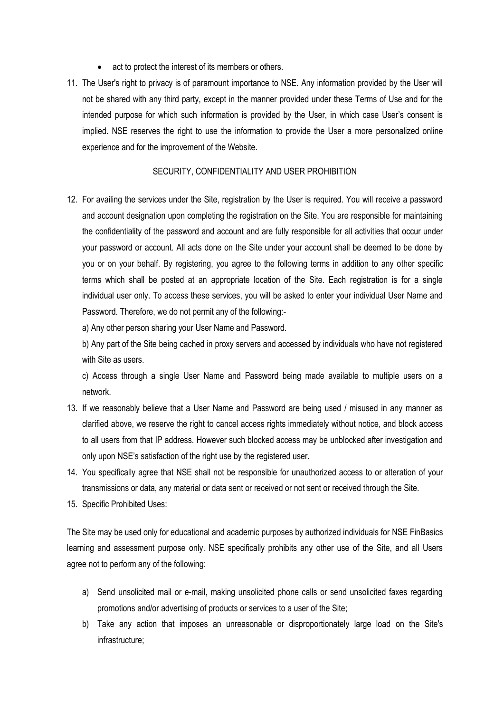- act to protect the interest of its members or others.
- 11. The User's right to privacy is of paramount importance to NSE. Any information provided by the User will not be shared with any third party, except in the manner provided under these Terms of Use and for the intended purpose for which such information is provided by the User, in which case User's consent is implied. NSE reserves the right to use the information to provide the User a more personalized online experience and for the improvement of the Website.

#### SECURITY, CONFIDENTIALITY AND USER PROHIBITION

12. For availing the services under the Site, registration by the User is required. You will receive a password and account designation upon completing the registration on the Site. You are responsible for maintaining the confidentiality of the password and account and are fully responsible for all activities that occur under your password or account. All acts done on the Site under your account shall be deemed to be done by you or on your behalf. By registering, you agree to the following terms in addition to any other specific terms which shall be posted at an appropriate location of the Site. Each registration is for a single individual user only. To access these services, you will be asked to enter your individual User Name and Password. Therefore, we do not permit any of the following:-

a) Any other person sharing your User Name and Password.

b) Any part of the Site being cached in proxy servers and accessed by individuals who have not registered with Site as users.

c) Access through a single User Name and Password being made available to multiple users on a network.

- 13. If we reasonably believe that a User Name and Password are being used / misused in any manner as clarified above, we reserve the right to cancel access rights immediately without notice, and block access to all users from that IP address. However such blocked access may be unblocked after investigation and only upon NSE's satisfaction of the right use by the registered user.
- 14. You specifically agree that NSE shall not be responsible for unauthorized access to or alteration of your transmissions or data, any material or data sent or received or not sent or received through the Site.
- 15. Specific Prohibited Uses:

The Site may be used only for educational and academic purposes by authorized individuals for NSE FinBasics learning and assessment purpose only. NSE specifically prohibits any other use of the Site, and all Users agree not to perform any of the following:

- a) Send unsolicited mail or e-mail, making unsolicited phone calls or send unsolicited faxes regarding promotions and/or advertising of products or services to a user of the Site;
- b) Take any action that imposes an unreasonable or disproportionately large load on the Site's infrastructure;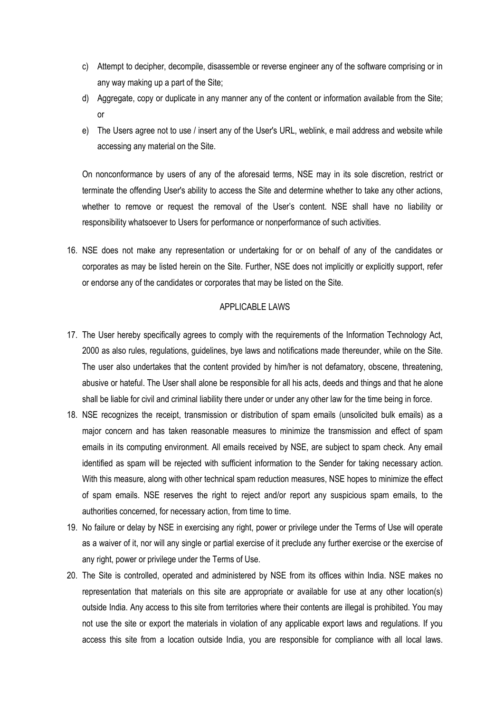- c) Attempt to decipher, decompile, disassemble or reverse engineer any of the software comprising or in any way making up a part of the Site;
- d) Aggregate, copy or duplicate in any manner any of the content or information available from the Site; or
- e) The Users agree not to use / insert any of the User's URL, weblink, e mail address and website while accessing any material on the Site.

On nonconformance by users of any of the aforesaid terms, NSE may in its sole discretion, restrict or terminate the offending User's ability to access the Site and determine whether to take any other actions, whether to remove or request the removal of the User's content. NSE shall have no liability or responsibility whatsoever to Users for performance or nonperformance of such activities.

16. NSE does not make any representation or undertaking for or on behalf of any of the candidates or corporates as may be listed herein on the Site. Further, NSE does not implicitly or explicitly support, refer or endorse any of the candidates or corporates that may be listed on the Site.

### APPLICABLE LAWS

- 17. The User hereby specifically agrees to comply with the requirements of the Information Technology Act, 2000 as also rules, regulations, guidelines, bye laws and notifications made thereunder, while on the Site. The user also undertakes that the content provided by him/her is not defamatory, obscene, threatening, abusive or hateful. The User shall alone be responsible for all his acts, deeds and things and that he alone shall be liable for civil and criminal liability there under or under any other law for the time being in force.
- 18. NSE recognizes the receipt, transmission or distribution of spam emails (unsolicited bulk emails) as a major concern and has taken reasonable measures to minimize the transmission and effect of spam emails in its computing environment. All emails received by NSE, are subject to spam check. Any email identified as spam will be rejected with sufficient information to the Sender for taking necessary action. With this measure, along with other technical spam reduction measures, NSE hopes to minimize the effect of spam emails. NSE reserves the right to reject and/or report any suspicious spam emails, to the authorities concerned, for necessary action, from time to time.
- 19. No failure or delay by NSE in exercising any right, power or privilege under the Terms of Use will operate as a waiver of it, nor will any single or partial exercise of it preclude any further exercise or the exercise of any right, power or privilege under the Terms of Use.
- 20. The Site is controlled, operated and administered by NSE from its offices within India. NSE makes no representation that materials on this site are appropriate or available for use at any other location(s) outside India. Any access to this site from territories where their contents are illegal is prohibited. You may not use the site or export the materials in violation of any applicable export laws and regulations. If you access this site from a location outside India, you are responsible for compliance with all local laws.